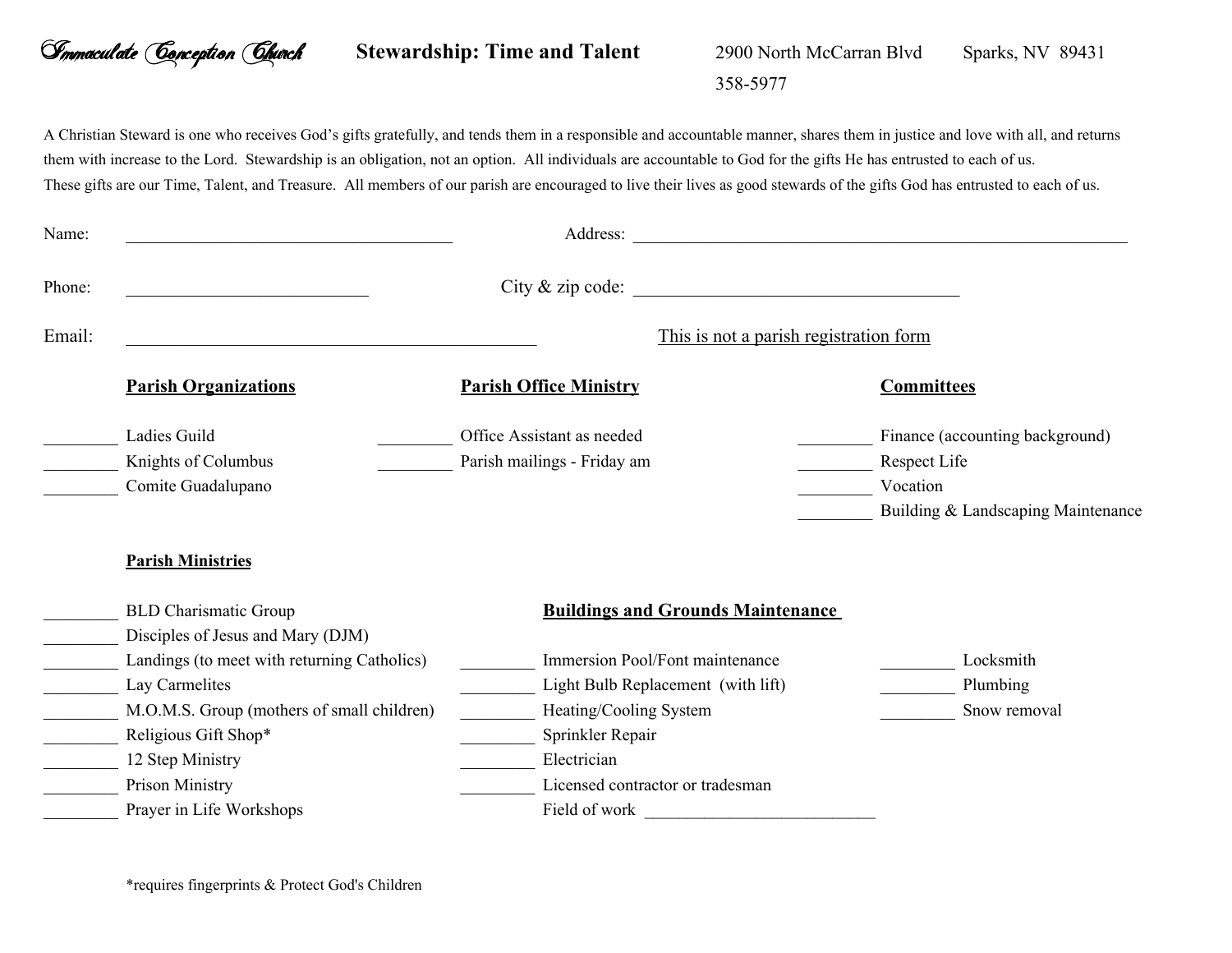## *Immaculate Conception Church* **Stewardship: Time and Talent** 2900 North McCarran Blvd 358-5977 Sparks, NV 89431

A Christian Steward is one who receives God's gifts gratefully, and tends them in a responsible and accountable manner, shares them in justice and love with all, and returns them with increase to the Lord. Stewardship is an obligation, not an option. All individuals are accountable to God for the gifts He has entrusted to each of us. These gifts are our Time, Talent, and Treasure. All members of our parish are encouraged to live their lives as good stewards of the gifts God has entrusted to each of us.

| Name:  |                                                                                                                                                                                                                                                                                                         | Address:                                                                                                                                                                                                                            | <u> 1989 - John Stein, Amerikaansk politiker (* 1958)</u>                                         |
|--------|---------------------------------------------------------------------------------------------------------------------------------------------------------------------------------------------------------------------------------------------------------------------------------------------------------|-------------------------------------------------------------------------------------------------------------------------------------------------------------------------------------------------------------------------------------|---------------------------------------------------------------------------------------------------|
| Phone: |                                                                                                                                                                                                                                                                                                         | City & zip code:                                                                                                                                                                                                                    |                                                                                                   |
| Email: | This is not a parish registration form                                                                                                                                                                                                                                                                  |                                                                                                                                                                                                                                     |                                                                                                   |
|        | <b>Parish Organizations</b>                                                                                                                                                                                                                                                                             | <b>Parish Office Ministry</b>                                                                                                                                                                                                       | <b>Committees</b>                                                                                 |
|        | Ladies Guild<br>Knights of Columbus<br>Comite Guadalupano                                                                                                                                                                                                                                               | Office Assistant as needed<br>Parish mailings - Friday am                                                                                                                                                                           | Finance (accounting background)<br>Respect Life<br>Vocation<br>Building & Landscaping Maintenance |
|        | <b>Parish Ministries</b><br><b>BLD Charismatic Group</b><br>Disciples of Jesus and Mary (DJM)<br>Landings (to meet with returning Catholics)<br>Lay Carmelites<br>M.O.M.S. Group (mothers of small children)<br>Religious Gift Shop*<br>12 Step Ministry<br>Prison Ministry<br>Prayer in Life Workshops | <b>Buildings and Grounds Maintenance</b><br>Immersion Pool/Font maintenance<br>Light Bulb Replacement (with lift)<br>Heating/Cooling System<br>Sprinkler Repair<br>Electrician<br>Licensed contractor or tradesman<br>Field of work | Locksmith<br>Plumbing<br>Snow removal                                                             |